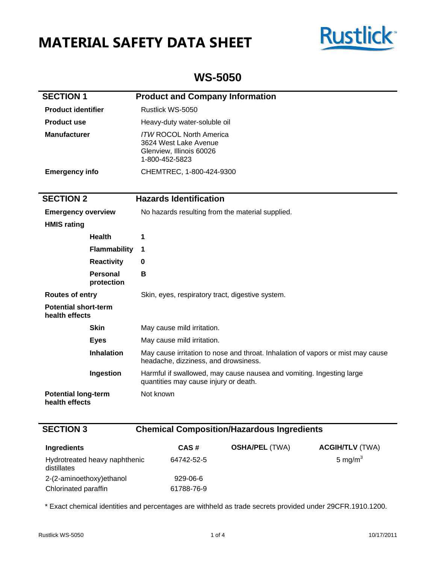# **MATERIAL SAFETY DATA SHEET**



## **WS-5050**

| <b>SECTION 1</b>                              |                               | <b>Product and Company Information</b>                                                                                                                    |  |  |
|-----------------------------------------------|-------------------------------|-----------------------------------------------------------------------------------------------------------------------------------------------------------|--|--|
| <b>Product identifier</b>                     |                               | Rustlick WS-5050<br>Heavy-duty water-soluble oil<br><b>ITW ROCOL North America</b><br>3624 West Lake Avenue<br>Glenview, Illinois 60026<br>1-800-452-5823 |  |  |
| <b>Product use</b>                            |                               |                                                                                                                                                           |  |  |
| <b>Manufacturer</b>                           |                               |                                                                                                                                                           |  |  |
| <b>Emergency info</b>                         |                               | CHEMTREC, 1-800-424-9300                                                                                                                                  |  |  |
| <b>SECTION 2</b>                              |                               | <b>Hazards Identification</b>                                                                                                                             |  |  |
| <b>Emergency overview</b>                     |                               | No hazards resulting from the material supplied.                                                                                                          |  |  |
| <b>HMIS rating</b>                            |                               |                                                                                                                                                           |  |  |
|                                               | <b>Health</b>                 | 1                                                                                                                                                         |  |  |
|                                               | <b>Flammability</b>           | 1                                                                                                                                                         |  |  |
|                                               | <b>Reactivity</b>             | $\mathbf 0$                                                                                                                                               |  |  |
|                                               | <b>Personal</b><br>protection | B                                                                                                                                                         |  |  |
| <b>Routes of entry</b>                        |                               | Skin, eyes, respiratory tract, digestive system.                                                                                                          |  |  |
| <b>Potential short-term</b><br>health effects |                               |                                                                                                                                                           |  |  |
|                                               | <b>Skin</b>                   | May cause mild irritation.                                                                                                                                |  |  |
|                                               | <b>Eyes</b>                   | May cause mild irritation.                                                                                                                                |  |  |
|                                               | <b>Inhalation</b>             | May cause irritation to nose and throat. Inhalation of vapors or mist may cause<br>headache, dizziness, and drowsiness.                                   |  |  |
|                                               | Ingestion                     | Harmful if swallowed, may cause nausea and vomiting. Ingesting large<br>quantities may cause injury or death.                                             |  |  |
| <b>Potential long-term</b><br>health effects  |                               | Not known                                                                                                                                                 |  |  |

 $\blacksquare$ 

### **SECTION 3 Chemical Composition/Hazardous Ingredients**

| Ingredients                                  | CAS#       | <b>OSHA/PEL (TWA)</b> | <b>ACGIH/TLV (TWA)</b> |
|----------------------------------------------|------------|-----------------------|------------------------|
| Hydrotreated heavy naphthenic<br>distillates | 64742-52-5 |                       | 5 mg/ $m3$             |
| 2-(2-aminoethoxy)ethanol                     | $929-06-6$ |                       |                        |
| Chlorinated paraffin                         | 61788-76-9 |                       |                        |

\* Exact chemical identities and percentages are withheld as trade secrets provided under 29CFR.1910.1200.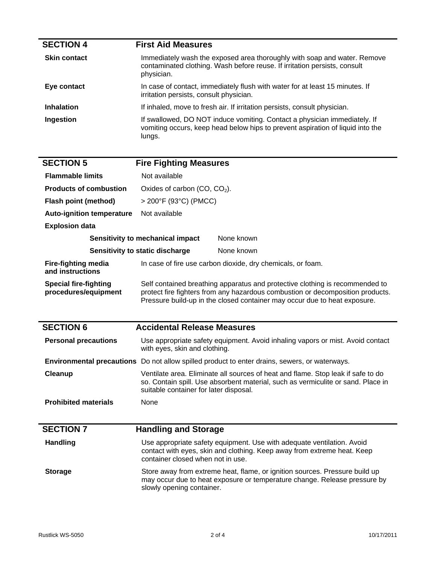| <b>SECTION 4</b>    | <b>First Aid Measures</b>                                                                                                                                             |
|---------------------|-----------------------------------------------------------------------------------------------------------------------------------------------------------------------|
| <b>Skin contact</b> | Immediately wash the exposed area thoroughly with soap and water. Remove<br>contaminated clothing. Wash before reuse. If irritation persists, consult<br>physician.   |
| Eye contact         | In case of contact, immediately flush with water for at least 15 minutes. If<br>irritation persists, consult physician.                                               |
| <b>Inhalation</b>   | If inhaled, move to fresh air. If irritation persists, consult physician.                                                                                             |
| Ingestion           | If swallowed, DO NOT induce vomiting. Contact a physician immediately. If<br>vomiting occurs, keep head below hips to prevent aspiration of liquid into the<br>lungs. |

| <b>SECTION 5</b>                                     | <b>Fire Fighting Measures</b>                                                                                                                                                                                                               |                                                                                                                                                   |  |  |
|------------------------------------------------------|---------------------------------------------------------------------------------------------------------------------------------------------------------------------------------------------------------------------------------------------|---------------------------------------------------------------------------------------------------------------------------------------------------|--|--|
| <b>Flammable limits</b>                              | Not available                                                                                                                                                                                                                               |                                                                                                                                                   |  |  |
| <b>Products of combustion</b>                        | Oxides of carbon $(CO, CO2)$ .                                                                                                                                                                                                              |                                                                                                                                                   |  |  |
| Flash point (method)                                 | > 200°F (93°C) (PMCC)                                                                                                                                                                                                                       |                                                                                                                                                   |  |  |
| <b>Auto-ignition temperature</b>                     | Not available                                                                                                                                                                                                                               |                                                                                                                                                   |  |  |
| <b>Explosion data</b>                                |                                                                                                                                                                                                                                             |                                                                                                                                                   |  |  |
|                                                      | Sensitivity to mechanical impact                                                                                                                                                                                                            | None known                                                                                                                                        |  |  |
|                                                      | Sensitivity to static discharge                                                                                                                                                                                                             | None known                                                                                                                                        |  |  |
| <b>Fire-fighting media</b><br>and instructions       | In case of fire use carbon dioxide, dry chemicals, or foam.                                                                                                                                                                                 |                                                                                                                                                   |  |  |
| <b>Special fire-fighting</b><br>procedures/equipment | Self contained breathing apparatus and protective clothing is recommended to<br>protect fire fighters from any hazardous combustion or decomposition products.<br>Pressure build-up in the closed container may occur due to heat exposure. |                                                                                                                                                   |  |  |
| <b>SECTION 6</b>                                     | <b>Accidental Release Measures</b>                                                                                                                                                                                                          |                                                                                                                                                   |  |  |
| <b>Personal precautions</b>                          | Use appropriate safety equipment. Avoid inhaling vapors or mist. Avoid contact<br>with eyes, skin and clothing.                                                                                                                             |                                                                                                                                                   |  |  |
|                                                      |                                                                                                                                                                                                                                             | Environmental precautions Do not allow spilled product to enter drains, sewers, or waterways.                                                     |  |  |
| Cleanup                                              | Ventilate area. Eliminate all sources of heat and flame. Stop leak if safe to do<br>so. Contain spill. Use absorbent material, such as vermiculite or sand. Place in<br>suitable container for later disposal.                              |                                                                                                                                                   |  |  |
| <b>Prohibited materials</b>                          | None                                                                                                                                                                                                                                        |                                                                                                                                                   |  |  |
|                                                      |                                                                                                                                                                                                                                             |                                                                                                                                                   |  |  |
| <b>SECTION 7</b>                                     | <b>Handling and Storage</b>                                                                                                                                                                                                                 |                                                                                                                                                   |  |  |
| <b>Handling</b>                                      | container closed when not in use.                                                                                                                                                                                                           | Use appropriate safety equipment. Use with adequate ventilation. Avoid<br>contact with eyes, skin and clothing. Keep away from extreme heat. Keep |  |  |
| <b>Storage</b>                                       | Store away from extreme heat, flame, or ignition sources. Pressure build up<br>may occur due to heat exposure or temperature change. Release pressure by<br>slowly opening container.                                                       |                                                                                                                                                   |  |  |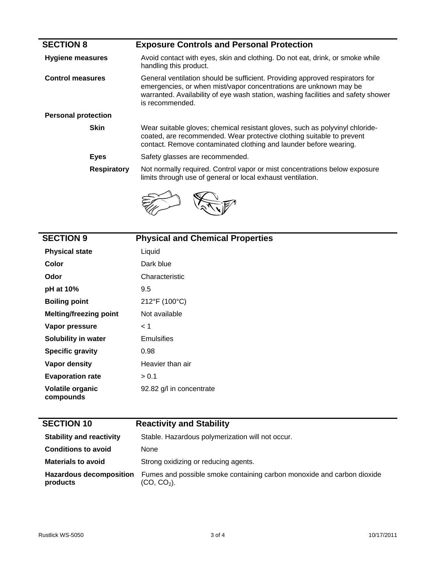| <b>SECTION 8</b>           | <b>Exposure Controls and Personal Protection</b>                                                                                                                                                                                                          |  |  |
|----------------------------|-----------------------------------------------------------------------------------------------------------------------------------------------------------------------------------------------------------------------------------------------------------|--|--|
| <b>Hygiene measures</b>    | Avoid contact with eyes, skin and clothing. Do not eat, drink, or smoke while<br>handling this product.                                                                                                                                                   |  |  |
| <b>Control measures</b>    | General ventilation should be sufficient. Providing approved respirators for<br>emergencies, or when mist/vapor concentrations are unknown may be<br>warranted. Availability of eye wash station, washing facilities and safety shower<br>is recommended. |  |  |
| <b>Personal protection</b> |                                                                                                                                                                                                                                                           |  |  |
| <b>Skin</b>                | Wear suitable gloves; chemical resistant gloves, such as polyvinyl chloride-<br>coated, are recommended. Wear protective clothing suitable to prevent<br>contact. Remove contaminated clothing and launder before wearing.                                |  |  |
| <b>Eyes</b>                | Safety glasses are recommended.                                                                                                                                                                                                                           |  |  |
| <b>Respiratory</b>         | Not normally required. Control vapor or mist concentrations below exposure<br>limits through use of general or local exhaust ventilation.                                                                                                                 |  |  |
|                            |                                                                                                                                                                                                                                                           |  |  |



| <b>SECTION 9</b>                     | <b>Physical and Chemical Properties</b>          |
|--------------------------------------|--------------------------------------------------|
| <b>Physical state</b>                | Liquid                                           |
| <b>Color</b>                         | Dark blue                                        |
| Odor                                 | Characteristic                                   |
| pH at 10%                            | 9.5                                              |
| <b>Boiling point</b>                 | 212°F (100°C)                                    |
| <b>Melting/freezing point</b>        | Not available                                    |
| Vapor pressure                       | < 1                                              |
| Solubility in water                  | <b>Emulsifies</b>                                |
| <b>Specific gravity</b>              | 0.98                                             |
| Vapor density                        | Heavier than air                                 |
| <b>Evaporation rate</b>              | > 0.1                                            |
| <b>Volatile organic</b><br>compounds | 92.82 g/l in concentrate                         |
| <b>SECTION 10</b>                    | <b>Reactivity and Stability</b>                  |
| <b>Stability and reactivity</b>      | Stable. Hazardous polymerization will not occur. |
| Conditions to avoid                  | <b>None</b>                                      |

| Conditions to avoid                        | none                                                                                    |
|--------------------------------------------|-----------------------------------------------------------------------------------------|
| <b>Materials to avoid</b>                  | Strong oxidizing or reducing agents.                                                    |
| <b>Hazardous decomposition</b><br>products | Fumes and possible smoke containing carbon monoxide and carbon dioxide<br>$(CO, CO2)$ . |